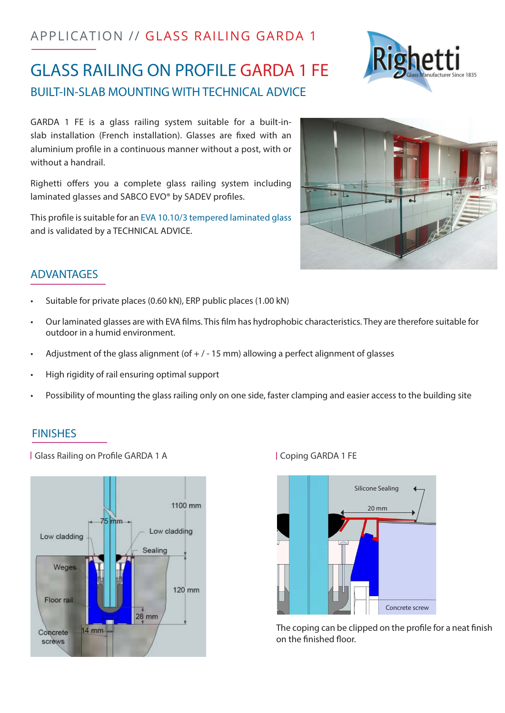# APPLICATION // GLASS RAILING GARDA 1

# GLASS RAILING ON PROFILE GARDA 1 FE BUILT-IN-SLAB MOUNTING WITH TECHNICAL ADVICE

GARDA 1 FE is a glass railing system suitable for a built-inslab installation (French installation). Glasses are fixed with an aluminium profile in a continuous manner without a post, with or without a handrail.

Righetti offers you a complete glass railing system including laminated glasses and SABCO EVO® by SADEV profiles.

This profile is suitable for an EVA 10.10/3 tempered laminated glass and is validated by a TECHNICAL ADVICE.

# **ADVANTAGES**

- Suitable for private places (0.60 kN), ERP public places (1.00 kN)
- Our laminated glasses are with EVA films. This film has hydrophobic characteristics. They are therefore suitable for outdoor in a humid environment.
- Adjustment of the glass alignment (of  $+$  / 15 mm) allowing a perfect alignment of glasses
- High rigidity of rail ensuring optimal support
- Possibility of mounting the glass railing only on one side, faster clamping and easier access to the building site

#### FINISHES

| Glass Railing on Profile GARDA 1 A | Coping GARDA 1 FE





The coping can be clipped on the profile for a neat finish on the finished floor.